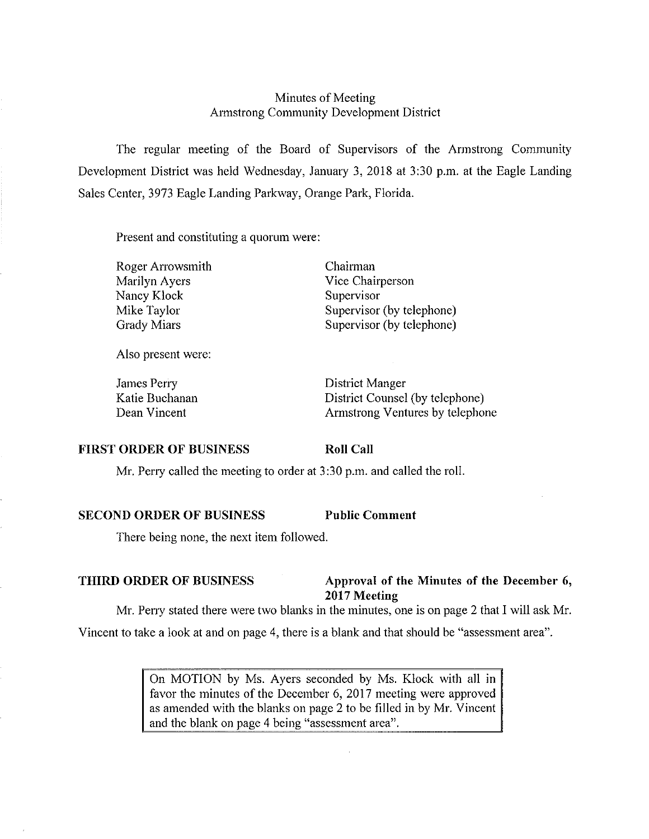# Minutes of Meeting Armstrong Community Development District

The regular meeting of the Board of Supervisors of the Armstrong Community Development District was held Wednesday, January 3, 2018 at 3:30 p.m. at the Eagle Landing Sales Center, 3973 Eagle Landing Parkway, Orange Park, Florida.

Present and constituting a quorum were:

Roger Arrowsmith Marilyn Ayers Nancy Klock Mike Taylor Grady Miars

Chairman Vice Chairperson Supervisor Supervisor (by telephone) Supervisor (by telephone)

Also present were:

James Perry Katie Buchanan Dean Vincent

District Manger District Counsel (by telephone) Armstrong Ventures by telephone

## **FIRST ORDER OF BUSINESS**

**Roll Call** 

Mr. Perry called the meeting to order at 3:30 p.m. and called the roll.

# **SECOND ORDER OF BUSINESS Public Comment**

There being none, the next item followed.

# **THIRD ORDER OF BUSINESS** Approval of the Minutes of the December 6, **2017 Meeting**

Mr. Peny stated there were two blanks in the minutes, one is on page 2 that I will ask Mr.

Vincent to take a look at and on page 4, there is a blank and that should be "assessment area".

On MOTION by Ms. Ayers seconded by Ms. Klock with all in favor the minutes of the December 6, 2017 meeting were approved as amended with the blanks on page 2 to be filled in by Mr. Vincent and the blank on page 4 being "assessment area".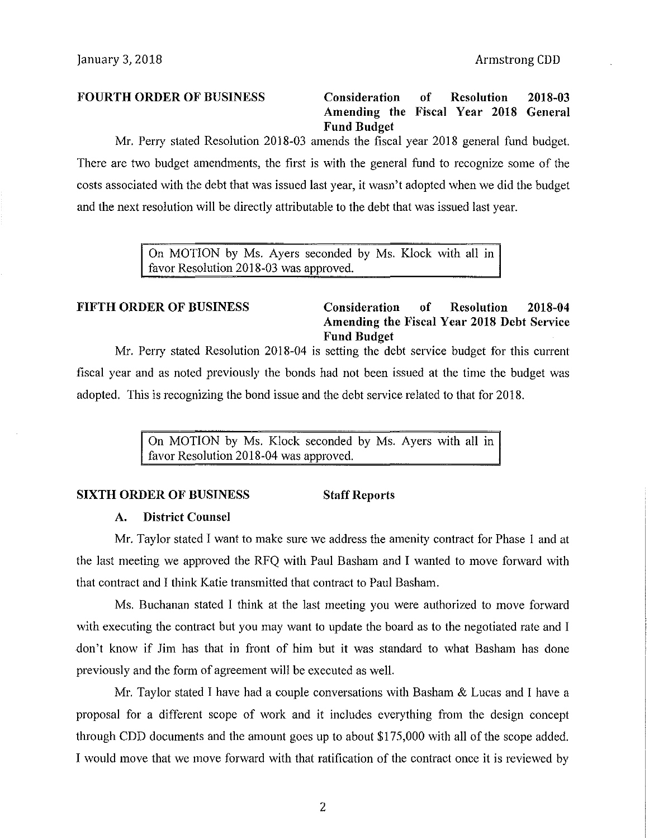**FOURTH ORDER OF BUSINESS Consideration of Resolution 2018-03 Amending the Fiscal Year 2018 General Fund Budget** 

Mr. Peny stated Resolution 2018-03 amends the fiscal year 2018 general fund budget. There are two budget amendments, the first is with the general fund to recognize some of the costs associated with the debt that was issued last year, it wasn't adopted when we did the budget and the next resolution will be directly attributable to the debt that was issued last year.

> On MOTION by Ms. Ayers seconded by Ms. Klock with all m favor Resolution 2018-03 was approved.

# **FIFTH ORDER OF BUSINESS Consideration of Resolution 2018-04 Amending the Fiscal Year 2018 Debt Service Fund Budget**

Mr. Perry stated Resolution 2018-04 is setting the debt service budget for this current fiscal year and as noted previously the bonds had not been issued at the time the budget was adopted. This is recognizing the bond issue and the debt service related to that for 2018.

> On MOTION by Ms. Klock seconded by Ms. Ayers with all in favor Resolution 2018-04 was approved.

# **SIXTH ORDER OF BUSINESS Staff Reports**

### **A. District Counsel**

Mr. Taylor stated I want to make sure we address the amenity contract for Phase I and at the last meeting we approved the RFQ with Paul Basham and I wanted to move forward with that contract and I think Katie transmitted that contract to Paul Basham.

Ms. Buchanan stated I think at the last meeting you were authorized to move forward with executing the contract but you may want to update the board as to the negotiated rate and I don't know if Jim has that in front of him but it was standard to what Basham has done previously and the form of agreement will be executed as well.

Mr. Taylor stated I have had a couple conversations with Basham & Lucas and I have a proposal for a different scope of work and it includes everything from the design concept through CDD documents and the amount goes up to about \$175,000 with all of the scope added. I would move that we move forward with that ratification of the contract once it is reviewed by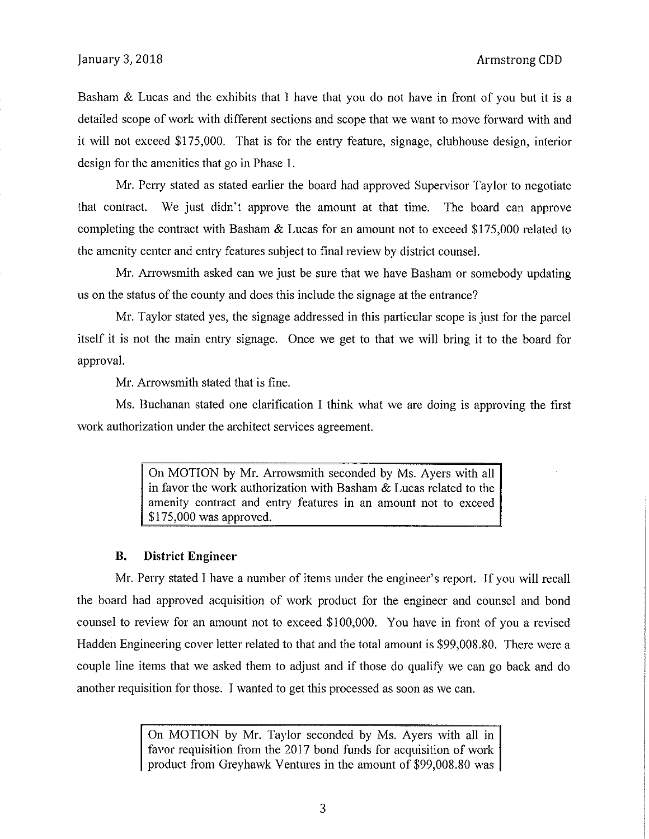Basham & Lucas and the exhibits that I have that you do not have in front of you but it is a detailed scope of work with different sections and scope that we want to move forward with and it will not exceed \$175,000. That is for the entry feature, signage, clubhouse design, interior design for the amenities that go in Phase 1.

Mr. Peny stated as stated earlier the board had approved Supervisor Taylor to negotiate that contract. We just didn't approve the amount at that time. The board can approve completing the contract with Basham & Lucas for an amount not to exceed \$175,000 related to the amenity center and entry features subject to final review by district counsel.

Mr. Arrowsmith asked can we just be sure that we have Basham or somebody updating us on the status of the county and does this include the signage at the entrance?

Mr. Taylor stated yes, the signage addressed in this particular scope is just for the parcel itself it is not the main entry signage. Once we get to that we will bring it to the board for approval.

Mr. Arrowsmith stated that is fine.

Ms. Buchanan stated one clarification I think what we are doing is approving the first work authorization under the architect services agreement.

> On MOTION by Mr. Arrowsmith seconded by Ms. Ayers with all in favor the work authorization with Basham & Lucas related to the amenity contract and entry features in an amount not to exceed \$175,000 was approved.

## **B. District Engineer**

Mr. Perry stated I have a number of items under the engineer's report. If you will recall the board had approved acquisition of work product for the engineer and counsel and bond counsel to review for an amount not to exceed \$100,000. You have in front of you a revised Hadden Engineering cover letter related to that and the total amount is \$99,008.80. There were a couple line items that we asked them to adjust and if those do qualify we can go back and do another requisition for those. I wanted to get this processed as soon as we can.

> On MOTION by Mr. Taylor seconded by Ms. Ayers with all in favor requisition from the 2017 bond funds for acquisition of work product from Greyhawk Ventures in the amount of \$99,008.80 was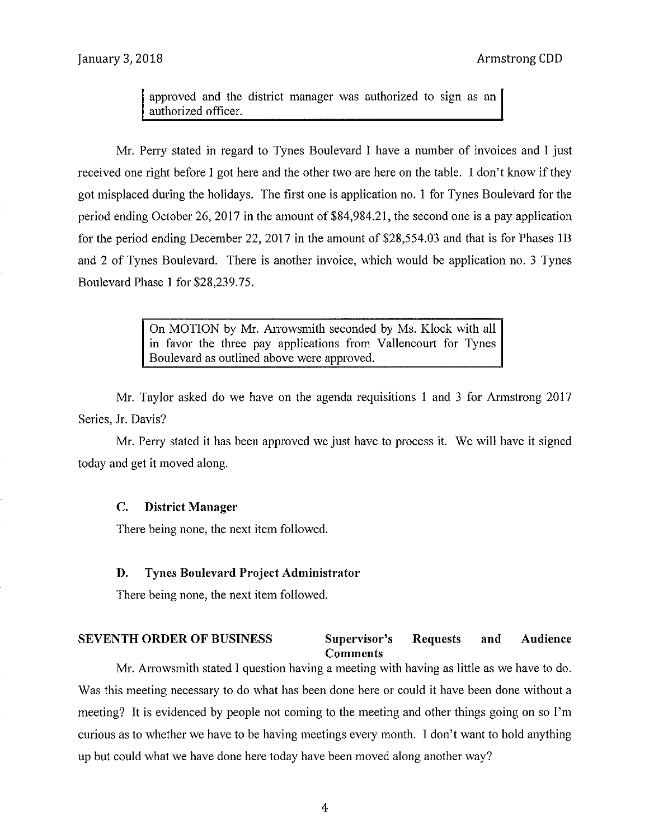approved and the district manager was authorized to sign as an authorized officer.

Mr. Perry stated in regard to Tynes Boulevard I have a number of invoices and I just received one right before I got here and the other two are here on the table. I don't know if they got misplaced during the holidays. The first one is application no. 1 for Tynes Boulevard for the period ending October 26, 2017 in the amount of \$84,984.21, the second one is a pay application for the period ending December 22, 2017 in the amount of \$28,554.03 and that is for Phases lB and 2 of Tynes Boulevard. There is another invoice, which would be application no. 3 Tynes Boulevard Phase 1 for \$28,239.75.

> On MOTION by Mr. Arrowsmith seconded by Ms. Klock with all in favor the three pay applications from Vallencourt for Tynes Boulevard as outlined above were approved.

Mr. Taylor asked do we have on the agenda requisitions 1 and 3 for Armstrong 2017 Series, Jr. Davis?

Mr. Peny stated it has been approved we just have to process it. We will have it signed today and get it moved along.

## **C. District Manager**

There being none, the next item followed.

## **D. Tynes Boulevard Project Administrator**

There being none, the next item followed.

### **SEVENTH ORDER OF BUSINESS Supervisor's Requests {:omments and Audience**

Mr. Arrowsmith stated I question having a meeting with having as little as we have to do. Was this meeting necessary to do what has been done here or could it have been done without a meeting? It is evidenced by people not coming to the meeting and other things going on so I'm curious as to whether we have to be having meetings every month. I don't want to hold anything up but could what we have done here today have been moved along another way?

4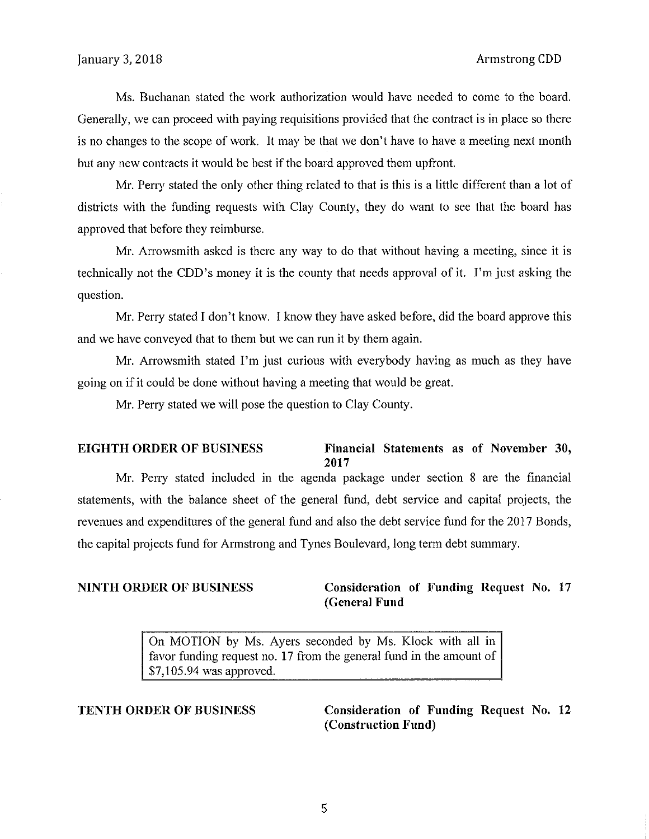Ms. Buchanan stated the work authorization would have needed to come to the board. Generally, we can proceed with paying requisitions provided that the contract is in place so there is no changes to the scope of work. It may be that we don't have to have a meeting next month but any new contracts it would be best if the board approved them upfront.

Mr. Perry stated the only other thing related to that is this is a little different than a lot of districts with the funding requests with Clay County, they do want to see that the board has approved that before they reimburse.

Mr. Arrowsmith asked is there any way to do that without having a meeting, since it is technically not the CDD's money it is the county that needs approval of it. I'm just asking the question.

Mr. Perry stated I don't know. I know they have asked before, did the board approve this and we have conveyed that to them but we can run it by them again.

Mr. Arrowsmith stated I'm just curious with everybody having as much as they have going on if it could be done without having a meeting that would be great.

Mr. Peny stated we will pose the question to Clay County.

## **EIGHTH ORDER OF BUSINESS** Financial Statements as of November 30, **2017**

Mr. Peny stated included in the agenda package under section 8 are the financial statements, with the balance sheet of the general fund, debt service and capital projects, the revenues and expenditures of the general fund and also the debt service fund for the 2017 Bonds, the capital projects fund for Armstrong and Tynes Boulevard, long term debt summary.

# **NINTH ORDER OF BUSINESS Consideration of Funding Request** No. 17 **(General Fund**

On MOTION by Ms. Ayers seconded by Ms. Klock with all in favor funding request no. 17 from the general fund in the amount of \$7, 105.94 was approved.

**TENTH ORDER OF BUSINESS Consideration of Funding Request** No. **12 (Construction Fund)**